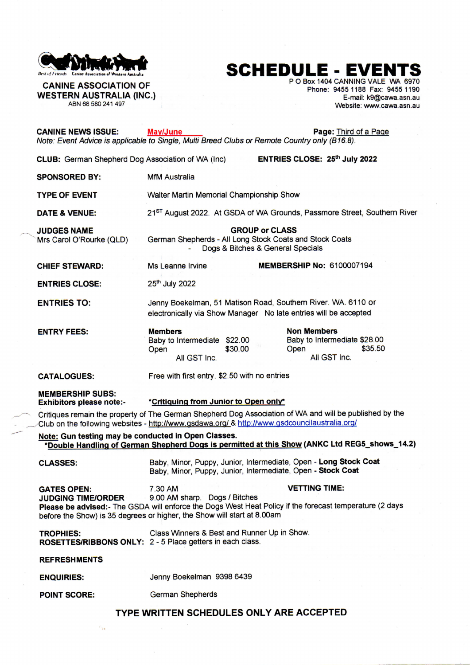

## **UE** IF **EL EVALUE Control** Association of Western Australia **1999, and Controlled Controlled Controlled Controlled Controlled Controlled Control and Western Australia**

 $\mathcal{C}_{\text{1.4}}$ 

**r** O Box 1404 CANNING VALE WA 6970 **P O Box 1404 CANNING VALE WA 6970 P O Box 1404 CANNING VALE WA 6970 P O Box 1404 CANNING VALE WA** 6970 **P** WESTERN AUSTRALIA (INC.)<br>ABN 68 580 241 497<br>Website: www.cawa.asn.au **Phone:** 9455 1186 Fax: 9455 1190<br>Website: www.cawa.asn.au Website: www.cawa.asn.au

| <b>CANINE NEWS ISSUE:</b>                                                                                                                                                                                | May/June<br>Page: Third of a Page<br>Note: Event Advice is applicable to Single, Multi Breed Clubs or Remote Country only (B16.8).                                                                                                                     |  |  |
|----------------------------------------------------------------------------------------------------------------------------------------------------------------------------------------------------------|--------------------------------------------------------------------------------------------------------------------------------------------------------------------------------------------------------------------------------------------------------|--|--|
| <b>CLUB:</b> German Shepherd Dog Association of WA (Inc)                                                                                                                                                 | ENTRIES CLOSE: 25th July 2022                                                                                                                                                                                                                          |  |  |
| <b>SPONSORED BY:</b>                                                                                                                                                                                     | <b>MfM Australia</b>                                                                                                                                                                                                                                   |  |  |
| <b>TYPE OF EVENT</b>                                                                                                                                                                                     | Walter Martin Memorial Championship Show                                                                                                                                                                                                               |  |  |
| DATE & VENUE:                                                                                                                                                                                            | 21 <sup>ST</sup> August 2022. At GSDA of WA Grounds, Passmore Street, Southern River                                                                                                                                                                   |  |  |
| <b>JUDGES NAME</b><br>Mrs Carol O'Rourke (QLD)                                                                                                                                                           | <b>GROUP or CLASS</b><br>German Shepherds - All Long Stock Coats and Stock Coats<br>Dogs & Bitches & General Specials                                                                                                                                  |  |  |
| <b>CHIEF STEWARD:</b>                                                                                                                                                                                    | <b>MEMBERSHIP No: 6100007194</b><br>Ms Leanne Irvine                                                                                                                                                                                                   |  |  |
| <b>ENTRIES CLOSE:</b>                                                                                                                                                                                    | 25th July 2022                                                                                                                                                                                                                                         |  |  |
| <b>ENTRIES TO:</b>                                                                                                                                                                                       | Jenny Boekelman, 51 Matison Road, Southern River. WA. 6110 or<br>electronically via Show Manager No late entries will be accepted                                                                                                                      |  |  |
| <b>ENTRY FEES:</b>                                                                                                                                                                                       | <b>Non Members</b><br><b>Members</b><br>Baby to Intermediate \$28.00<br>Baby to Intermediate \$22.00<br>\$35.50<br>\$30.00<br>Open<br>Open<br>All GST Inc.<br>All GST Inc.                                                                             |  |  |
| <b>CATALOGUES:</b>                                                                                                                                                                                       | Free with first entry. \$2.50 with no entries                                                                                                                                                                                                          |  |  |
| <b>MEMBERSHIP SUBS:</b><br><b>Exhibitors please note:-</b>                                                                                                                                               | *Critiquing from Junior to Open only*                                                                                                                                                                                                                  |  |  |
| Critiques remain the property of The German Shepherd Dog Association of WA and will be published by the<br>Club on the following websites - http://www.gsdawa.org/ & http://www.gsdcouncilaustralia.org/ |                                                                                                                                                                                                                                                        |  |  |
| Note: Gun testing may be conducted in Open Classes.<br>*Double Handling of German Shepherd Dogs is permitted at this Show (ANKC Ltd REG5_shows_14.2)                                                     |                                                                                                                                                                                                                                                        |  |  |
| <b>CLASSES:</b>                                                                                                                                                                                          | Baby, Minor, Puppy, Junior, Intermediate, Open - Long Stock Coat<br>Baby, Minor, Puppy, Junior, Intermediate, Open - Stock Coat                                                                                                                        |  |  |
| <b>GATES OPEN:</b><br><b>JUDGING TIME/ORDER</b>                                                                                                                                                          | <b>VETTING TIME:</b><br>7.30 AM<br>9.00 AM sharp. Dogs / Bitches<br>Please be advised:- The GSDA will enforce the Dogs West Heat Policy if the forecast temperature (2 days<br>before the Show) is 35 degrees or higher, the Show will start at 8.00am |  |  |
| <b>TROPHIES:</b>                                                                                                                                                                                         | Class Winners & Best and Runner Up in Show.<br>ROSETTES/RIBBONS ONLY: 2 - 5 Place getters in each class.                                                                                                                                               |  |  |
| <b>REFRESHMENTS</b>                                                                                                                                                                                      |                                                                                                                                                                                                                                                        |  |  |
| <b>ENQUIRIES:</b>                                                                                                                                                                                        | Jenny Boekelman 9398 6439                                                                                                                                                                                                                              |  |  |
| <b>POINT SCORE:</b>                                                                                                                                                                                      | German Shepherds                                                                                                                                                                                                                                       |  |  |
| TYPE WRITTEN SCHEDULES ONLY ARE ACCEPTED                                                                                                                                                                 |                                                                                                                                                                                                                                                        |  |  |